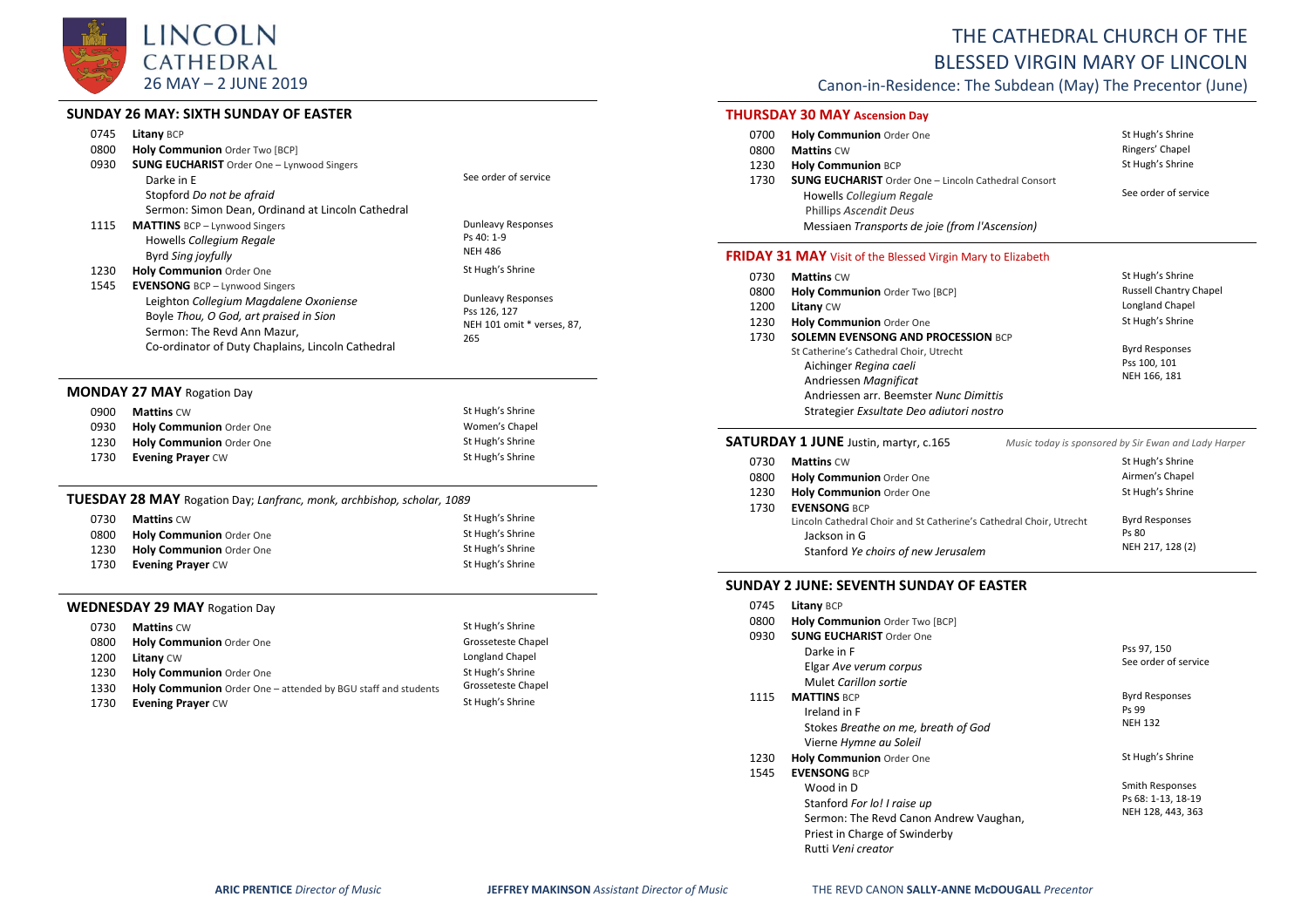

### **SUNDAY 26 MAY: SIXTH SUNDAY OF EASTER**

|      | SUNDAY Z6 MAY: SIXTH SUNDAY OF EASTER                                  |                                   |
|------|------------------------------------------------------------------------|-----------------------------------|
| 0745 | <b>Litany BCP</b>                                                      |                                   |
| 0800 | Holy Communion Order Two [BCP]                                         |                                   |
| 0930 | <b>SUNG EUCHARIST</b> Order One - Lynwood Singers                      |                                   |
|      | Darke in E                                                             | See order of service              |
|      | Stopford Do not be afraid                                              |                                   |
|      | Sermon: Simon Dean, Ordinand at Lincoln Cathedral                      |                                   |
| 1115 | <b>MATTINS</b> BCP - Lynwood Singers                                   | <b>Dunleavy Responses</b>         |
|      | Howells Collegium Regale                                               | Ps 40: 1-9                        |
|      | Byrd Sing joyfully                                                     | <b>NEH 486</b>                    |
| 1230 | Holy Communion Order One                                               | St Hugh's Shrine                  |
| 1545 | <b>EVENSONG</b> BCP - Lynwood Singers                                  |                                   |
|      | Leighton Collegium Magdalene Oxoniense                                 | Dunleavy Responses                |
|      | Boyle Thou, O God, art praised in Sion                                 | Pss 126, 127                      |
|      | Sermon: The Revd Ann Mazur,                                            | NEH 101 omit * verses, 87,<br>265 |
|      | Co-ordinator of Duty Chaplains, Lincoln Cathedral                      |                                   |
|      |                                                                        |                                   |
|      | <b>MONDAY 27 MAY Rogation Day</b>                                      |                                   |
| 0900 | <b>Mattins CW</b>                                                      | St Hugh's Shrine                  |
| 0930 | Holy Communion Order One                                               | Women's Chapel                    |
| 1230 | Holy Communion Order One                                               | St Hugh's Shrine                  |
| 1730 | <b>Evening Prayer CW</b>                                               | St Hugh's Shrine                  |
|      |                                                                        |                                   |
|      | TUESDAY 28 MAY Rogation Day; Lanfranc, monk, archbishop, scholar, 1089 |                                   |
| 0730 | <b>Mattins CW</b>                                                      | St Hugh's Shrine                  |
| 0800 | Holy Communion Order One                                               | St Hugh's Shrine                  |
| 1230 | Holy Communion Order One                                               | St Hugh's Shrine                  |
| 1730 | <b>Evening Prayer CW</b>                                               | St Hugh's Shrine                  |
|      |                                                                        |                                   |
|      | <b>WEDNESDAY 29 MAY Rogation Day</b>                                   |                                   |
|      |                                                                        |                                   |

#### **0730 Mattins** CW **St Hugh's Shrine St Hugh's Shrine** 0800 **Holy Communion** Order One Grosseteste Chapel 1200 **Litany** CW Longland Chapel 1230 1330 **Holy Communion** Order One **Holy Communion** Order One – attended by BGU staff and students St Hugh's Shrine Grosseteste Chapel 1730 **Evening Prayer** CW **State State State State State State State State State State State State State State State State State State State State State State State State State State State State State State State State Stat**

## THE CATHEDRAL CHURCH OF THE BLESSED VIRGIN MARY OF LINCOLN

Canon-in-Residence: The Subdean (May) The Precentor (June)

### **THURSDAY 30 MAY Ascension Day**

| 0700 | Holy Communion Order One                                    | St Hugh's Shrine     |
|------|-------------------------------------------------------------|----------------------|
| 0800 | <b>Mattins CW</b>                                           | Ringers' Chapel      |
| 1230 | <b>Holy Communion BCP</b>                                   | St Hugh's Shrine     |
| 1730 | <b>SUNG EUCHARIST</b> Order One - Lincoln Cathedral Consort |                      |
|      | Howells Collegium Regale                                    | See order of service |
|      | Phillips Ascendit Deus                                      |                      |
|      | Messiaen Transports de joie (from l'Ascension)              |                      |
|      |                                                             |                      |

#### **FRIDAY 31 MAY** Visit of the Blessed Virgin Mary to Elizabeth

| 0730 | <b>Mattins CW</b>                                                                                                                                                                | St Hugh's Shrine                                      |
|------|----------------------------------------------------------------------------------------------------------------------------------------------------------------------------------|-------------------------------------------------------|
| 0800 | Holy Communion Order Two [BCP]                                                                                                                                                   | <b>Russell Chantry Chapel</b>                         |
| 1200 | Litany CW                                                                                                                                                                        | Longland Chapel                                       |
| 1230 | Holy Communion Order One                                                                                                                                                         | St Hugh's Shrine                                      |
| 1730 | <b>SOLEMN EVENSONG AND PROCESSION BCP</b>                                                                                                                                        |                                                       |
|      | St Catherine's Cathedral Choir, Utrecht<br>Aichinger Regina caeli<br>Andriessen Magnificat<br>Andriessen arr. Beemster Nunc Dimittis<br>Strategier Exsultate Deo adiutori nostro | <b>Byrd Responses</b><br>Pss 100, 101<br>NEH 166, 181 |

|      | <b>SATURDAY 1 JUNE</b> Justin, martyr, c.165                                                                               | Music today is sponsored by Sir Ewan and Lady Harper |
|------|----------------------------------------------------------------------------------------------------------------------------|------------------------------------------------------|
| 0730 | <b>Mattins CW</b>                                                                                                          | St Hugh's Shrine                                     |
| 0800 | Holy Communion Order One                                                                                                   | Airmen's Chapel                                      |
| 1230 | Holy Communion Order One                                                                                                   | St Hugh's Shrine                                     |
| 1730 | <b>EVENSONG BCP</b>                                                                                                        |                                                      |
|      | Lincoln Cathedral Choir and St Catherine's Cathedral Choir, Utrecht<br>Jackson in G<br>Stanford Ye choirs of new Jerusalem | <b>Byrd Responses</b><br>Ps 80<br>NEH 217, 128 (2)   |
|      |                                                                                                                            |                                                      |

#### **SUNDAY 2 JUNE: SEVENTH SUNDAY OF EASTER**

| 0745 | Litany BCP                             |                        |
|------|----------------------------------------|------------------------|
| 0800 | Holy Communion Order Two [BCP]         |                        |
| 0930 | <b>SUNG EUCHARIST Order One</b>        |                        |
|      | Darke in F                             | Pss 97, 150            |
|      | Elgar Ave verum corpus                 | See order of service   |
|      | Mulet Carillon sortie                  |                        |
| 1115 | <b>MATTINS BCP</b>                     | <b>Byrd Responses</b>  |
|      | Ireland in F                           | Ps 99                  |
|      | Stokes Breathe on me, breath of God    | <b>NEH 132</b>         |
|      | Vierne Hymne au Soleil                 |                        |
| 1230 | Holy Communion Order One               | St Hugh's Shrine       |
| 1545 | <b>EVENSONG BCP</b>                    |                        |
|      | Wood in D                              | <b>Smith Responses</b> |
|      | Stanford For lo! I raise up            | Ps 68: 1-13, 18-19     |
|      | Sermon: The Revd Canon Andrew Vaughan, | NEH 128, 443, 363      |
|      | Priest in Charge of Swinderby          |                        |
|      | Rutti Veni creator                     |                        |